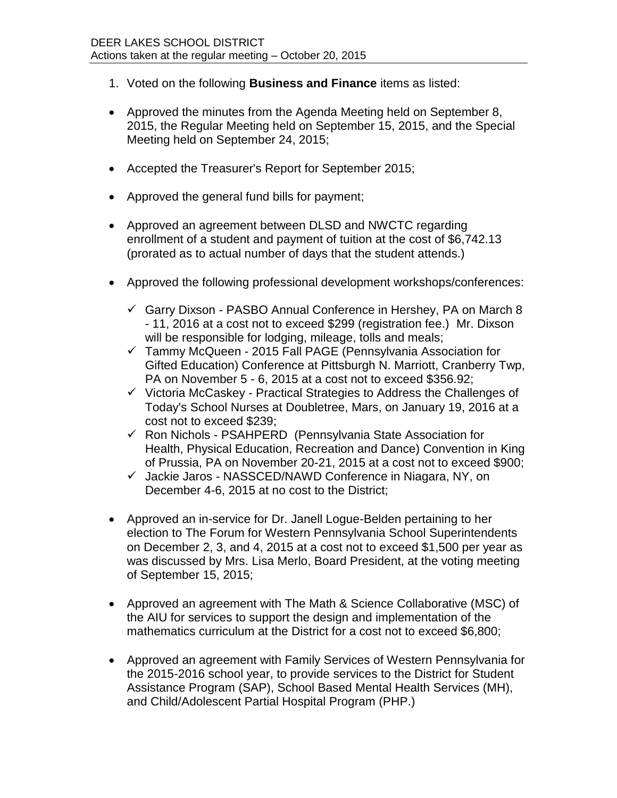- 1. Voted on the following **Business and Finance** items as listed:
- Approved the minutes from the Agenda Meeting held on September 8, 2015, the Regular Meeting held on September 15, 2015, and the Special Meeting held on September 24, 2015;
- Accepted the Treasurer's Report for September 2015;
- Approved the general fund bills for payment;
- Approved an agreement between DLSD and NWCTC regarding enrollment of a student and payment of tuition at the cost of \$6,742.13 (prorated as to actual number of days that the student attends.)
- Approved the following professional development workshops/conferences:
	- $\checkmark$  Garry Dixson PASBO Annual Conference in Hershey, PA on March 8 - 11, 2016 at a cost not to exceed \$299 (registration fee.) Mr. Dixson will be responsible for lodging, mileage, tolls and meals;
	- $\checkmark$  Tammy McQueen 2015 Fall PAGE (Pennsylvania Association for Gifted Education) Conference at Pittsburgh N. Marriott, Cranberry Twp, PA on November 5 - 6, 2015 at a cost not to exceed \$356.92;
	- $\checkmark$  Victoria McCaskey Practical Strategies to Address the Challenges of Today's School Nurses at Doubletree, Mars, on January 19, 2016 at a cost not to exceed \$239;
	- $\checkmark$  Ron Nichols PSAHPERD (Pennsylvania State Association for Health, Physical Education, Recreation and Dance) Convention in King of Prussia, PA on November 20-21, 2015 at a cost not to exceed \$900;
	- $\checkmark$  Jackie Jaros NASSCED/NAWD Conference in Niagara, NY, on December 4-6, 2015 at no cost to the District;
- Approved an in-service for Dr. Janell Logue-Belden pertaining to her election to The Forum for Western Pennsylvania School Superintendents on December 2, 3, and 4, 2015 at a cost not to exceed \$1,500 per year as was discussed by Mrs. Lisa Merlo, Board President, at the voting meeting of September 15, 2015;
- Approved an agreement with The Math & Science Collaborative (MSC) of the AIU for services to support the design and implementation of the mathematics curriculum at the District for a cost not to exceed \$6,800;
- Approved an agreement with Family Services of Western Pennsylvania for the 2015-2016 school year, to provide services to the District for Student Assistance Program (SAP), School Based Mental Health Services (MH), and Child/Adolescent Partial Hospital Program (PHP.)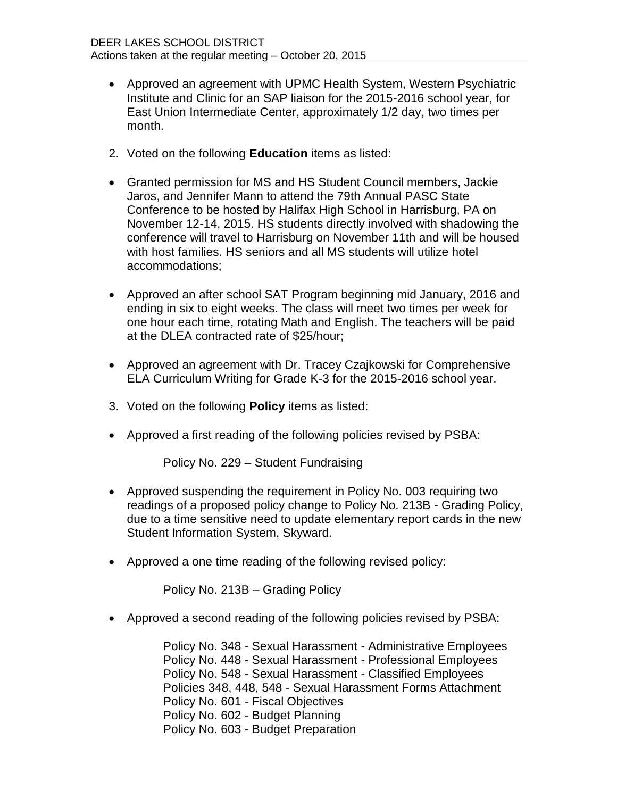- Approved an agreement with UPMC Health System, Western Psychiatric Institute and Clinic for an SAP liaison for the 2015-2016 school year, for East Union Intermediate Center, approximately 1/2 day, two times per month.
- 2. Voted on the following **Education** items as listed:
- Granted permission for MS and HS Student Council members, Jackie Jaros, and Jennifer Mann to attend the 79th Annual PASC State Conference to be hosted by Halifax High School in Harrisburg, PA on November 12-14, 2015. HS students directly involved with shadowing the conference will travel to Harrisburg on November 11th and will be housed with host families. HS seniors and all MS students will utilize hotel accommodations;
- Approved an after school SAT Program beginning mid January, 2016 and ending in six to eight weeks. The class will meet two times per week for one hour each time, rotating Math and English. The teachers will be paid at the DLEA contracted rate of \$25/hour;
- Approved an agreement with Dr. Tracey Czajkowski for Comprehensive ELA Curriculum Writing for Grade K-3 for the 2015-2016 school year.
- 3. Voted on the following **Policy** items as listed:
- Approved a first reading of the following policies revised by PSBA:

Policy No. 229 – Student Fundraising

- Approved suspending the requirement in Policy No. 003 requiring two readings of a proposed policy change to Policy No. 213B - Grading Policy, due to a time sensitive need to update elementary report cards in the new Student Information System, Skyward.
- Approved a one time reading of the following revised policy:

Policy No. 213B – Grading Policy

Approved a second reading of the following policies revised by PSBA:

Policy No. 348 - Sexual Harassment - Administrative Employees Policy No. 448 - Sexual Harassment - Professional Employees Policy No. 548 - Sexual Harassment - Classified Employees Policies 348, 448, 548 - Sexual Harassment Forms Attachment Policy No. 601 - Fiscal Objectives Policy No. 602 - Budget Planning Policy No. 603 - Budget Preparation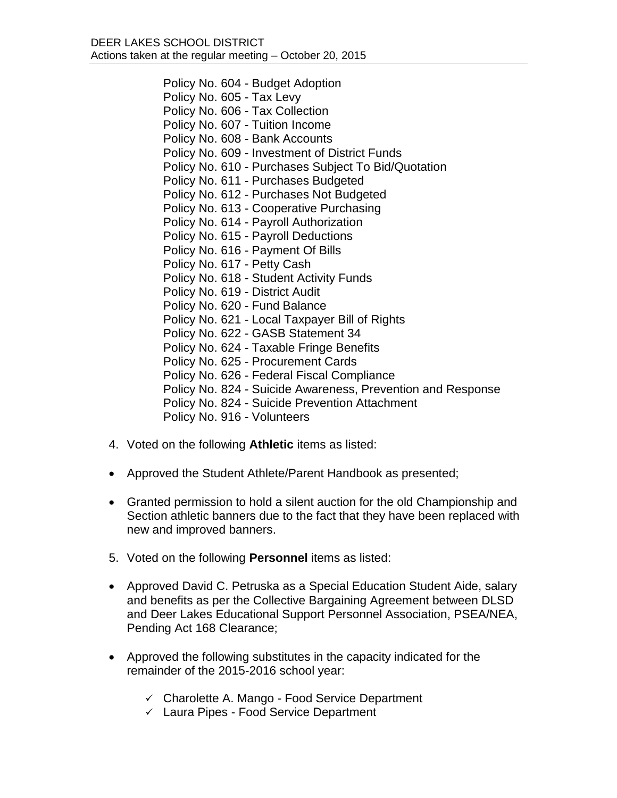Policy No. 604 - Budget Adoption Policy No. 605 - Tax Levy Policy No. 606 - Tax Collection Policy No. 607 - Tuition Income Policy No. 608 - Bank Accounts Policy No. 609 - Investment of District Funds Policy No. 610 - Purchases Subject To Bid/Quotation Policy No. 611 - Purchases Budgeted Policy No. 612 - Purchases Not Budgeted Policy No. 613 - Cooperative Purchasing Policy No. 614 - Payroll Authorization Policy No. 615 - Payroll Deductions Policy No. 616 - Payment Of Bills Policy No. 617 - Petty Cash Policy No. 618 - Student Activity Funds Policy No. 619 - District Audit Policy No. 620 - Fund Balance Policy No. 621 - Local Taxpayer Bill of Rights Policy No. 622 - GASB Statement 34 Policy No. 624 - Taxable Fringe Benefits Policy No. 625 - Procurement Cards Policy No. 626 - Federal Fiscal Compliance Policy No. 824 - Suicide Awareness, Prevention and Response Policy No. 824 - Suicide Prevention Attachment Policy No. 916 - Volunteers

- 4. Voted on the following **Athletic** items as listed:
- Approved the Student Athlete/Parent Handbook as presented;
- Granted permission to hold a silent auction for the old Championship and Section athletic banners due to the fact that they have been replaced with new and improved banners.
- 5. Voted on the following **Personnel** items as listed:
- Approved David C. Petruska as a Special Education Student Aide, salary and benefits as per the Collective Bargaining Agreement between DLSD and Deer Lakes Educational Support Personnel Association, PSEA/NEA, Pending Act 168 Clearance;
- Approved the following substitutes in the capacity indicated for the remainder of the 2015-2016 school year:
	- $\checkmark$  Charolette A. Mango Food Service Department
	- $\checkmark$  Laura Pipes Food Service Department